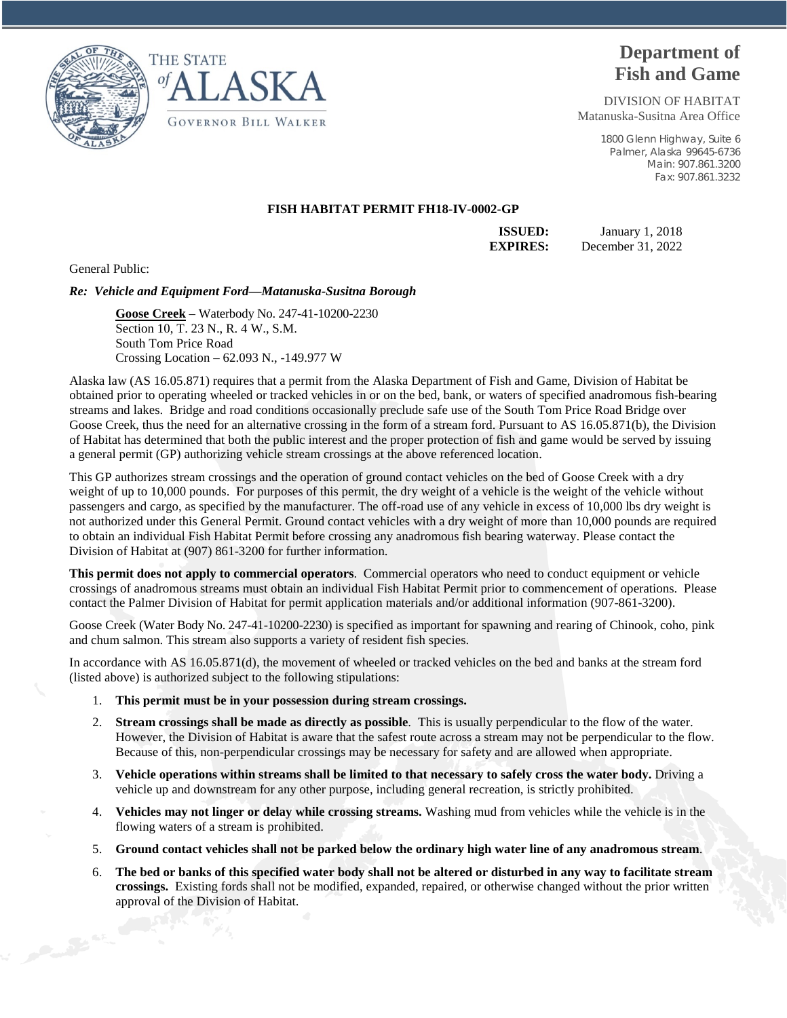



## **Department of Fish and Game**

DIVISION OF HABITAT Matanuska-Susitna Area Office

> 1800 Glenn Highway, Suite 6 Palmer, Alaska 99645-6736 Main: 907.861.3200 Fax: 907.861.3232

## **FISH HABITAT PERMIT FH18-IV-0002-GP**

**ISSUED:** January 1, 2018 **EXPIRES:** December 31, 2022

General Public:

## *Re: Vehicle and Equipment Ford—Matanuska-Susitna Borough*

**Goose Creek** – Waterbody No. 247-41-10200-2230 Section 10, T. 23 N., R. 4 W., S.M. South Tom Price Road Crossing Location – 62.093 N., -149.977 W

Alaska law (AS 16.05.871) requires that a permit from the Alaska Department of Fish and Game, Division of Habitat be obtained prior to operating wheeled or tracked vehicles in or on the bed, bank, or waters of specified anadromous fish-bearing streams and lakes. Bridge and road conditions occasionally preclude safe use of the South Tom Price Road Bridge over Goose Creek, thus the need for an alternative crossing in the form of a stream ford. Pursuant to AS 16.05.871(b), the Division of Habitat has determined that both the public interest and the proper protection of fish and game would be served by issuing a general permit (GP) authorizing vehicle stream crossings at the above referenced location.

This GP authorizes stream crossings and the operation of ground contact vehicles on the bed of Goose Creek with a dry weight of up to 10,000 pounds. For purposes of this permit, the dry weight of a vehicle is the weight of the vehicle without passengers and cargo, as specified by the manufacturer. The off-road use of any vehicle in excess of 10,000 lbs dry weight is not authorized under this General Permit. Ground contact vehicles with a dry weight of more than 10,000 pounds are required to obtain an individual Fish Habitat Permit before crossing any anadromous fish bearing waterway. Please contact the Division of Habitat at (907) 861-3200 for further information.

**This permit does not apply to commercial operators**. Commercial operators who need to conduct equipment or vehicle crossings of anadromous streams must obtain an individual Fish Habitat Permit prior to commencement of operations. Please contact the Palmer Division of Habitat for permit application materials and/or additional information (907-861-3200).

Goose Creek (Water Body No. 247-41-10200-2230) is specified as important for spawning and rearing of Chinook, coho, pink and chum salmon. This stream also supports a variety of resident fish species.

In accordance with AS 16.05.871(d), the movement of wheeled or tracked vehicles on the bed and banks at the stream ford (listed above) is authorized subject to the following stipulations:

- 1. **This permit must be in your possession during stream crossings.**
- 2. **Stream crossings shall be made as directly as possible**. This is usually perpendicular to the flow of the water. However, the Division of Habitat is aware that the safest route across a stream may not be perpendicular to the flow. Because of this, non-perpendicular crossings may be necessary for safety and are allowed when appropriate.
- 3. **Vehicle operations within streams shall be limited to that necessary to safely cross the water body.** Driving a vehicle up and downstream for any other purpose, including general recreation, is strictly prohibited.
- 4. **Vehicles may not linger or delay while crossing streams.** Washing mud from vehicles while the vehicle is in the flowing waters of a stream is prohibited.
- 5. **Ground contact vehicles shall not be parked below the ordinary high water line of any anadromous stream**.
- 6. **The bed or banks of this specified water body shall not be altered or disturbed in any way to facilitate stream crossings.** Existing fords shall not be modified, expanded, repaired, or otherwise changed without the prior written approval of the Division of Habitat.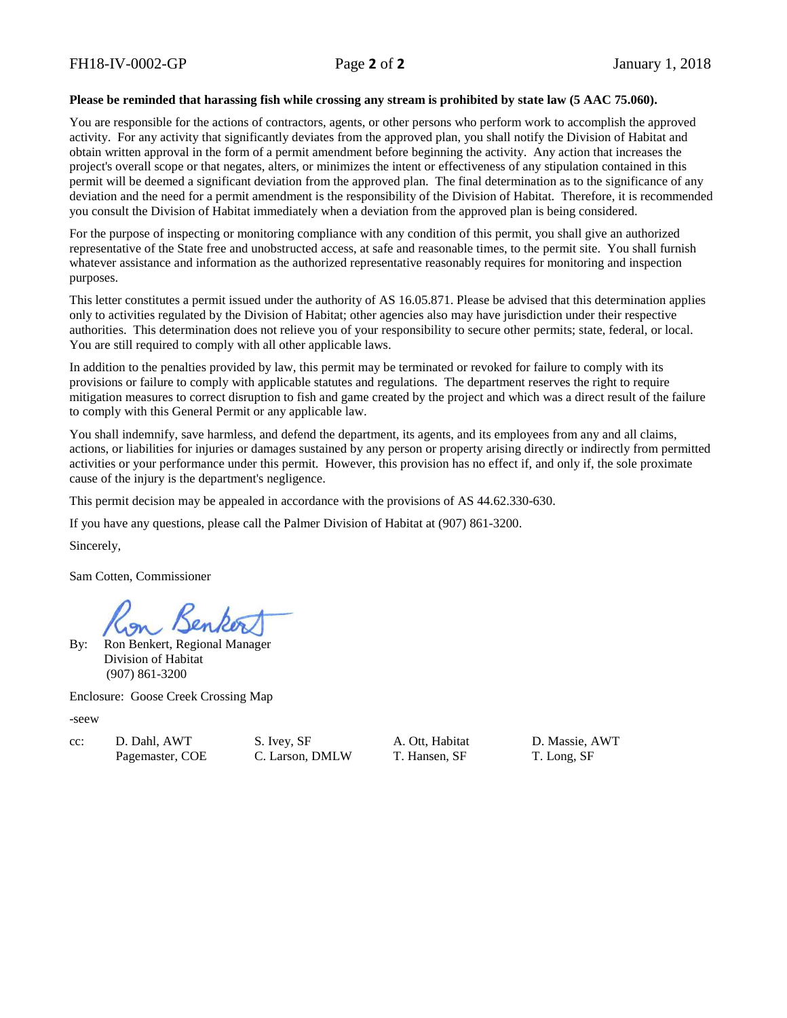## **Please be reminded that harassing fish while crossing any stream is prohibited by state law (5 AAC 75.060).**

You are responsible for the actions of contractors, agents, or other persons who perform work to accomplish the approved activity. For any activity that significantly deviates from the approved plan, you shall notify the Division of Habitat and obtain written approval in the form of a permit amendment before beginning the activity. Any action that increases the project's overall scope or that negates, alters, or minimizes the intent or effectiveness of any stipulation contained in this permit will be deemed a significant deviation from the approved plan. The final determination as to the significance of any deviation and the need for a permit amendment is the responsibility of the Division of Habitat. Therefore, it is recommended you consult the Division of Habitat immediately when a deviation from the approved plan is being considered.

For the purpose of inspecting or monitoring compliance with any condition of this permit, you shall give an authorized representative of the State free and unobstructed access, at safe and reasonable times, to the permit site. You shall furnish whatever assistance and information as the authorized representative reasonably requires for monitoring and inspection purposes.

This letter constitutes a permit issued under the authority of AS 16.05.871. Please be advised that this determination applies only to activities regulated by the Division of Habitat; other agencies also may have jurisdiction under their respective authorities. This determination does not relieve you of your responsibility to secure other permits; state, federal, or local. You are still required to comply with all other applicable laws.

In addition to the penalties provided by law, this permit may be terminated or revoked for failure to comply with its provisions or failure to comply with applicable statutes and regulations. The department reserves the right to require mitigation measures to correct disruption to fish and game created by the project and which was a direct result of the failure to comply with this General Permit or any applicable law.

You shall indemnify, save harmless, and defend the department, its agents, and its employees from any and all claims, actions, or liabilities for injuries or damages sustained by any person or property arising directly or indirectly from permitted activities or your performance under this permit. However, this provision has no effect if, and only if, the sole proximate cause of the injury is the department's negligence.

This permit decision may be appealed in accordance with the provisions of AS 44.62.330-630.

If you have any questions, please call the Palmer Division of Habitat at (907) 861-3200.

Sincerely,

Sam Cotten, Commissioner

By: Ron Benkert, Regional Manager Division of Habitat (907) 861-3200

Enclosure: Goose Creek Crossing Map

-seew

cc: D. Dahl, AWT S. Ivey, SF A. Ott, Habitat D. Massie, AWT Pagemaster, COE C. Larson, DMLW T. Hansen, SF T. Long, SF